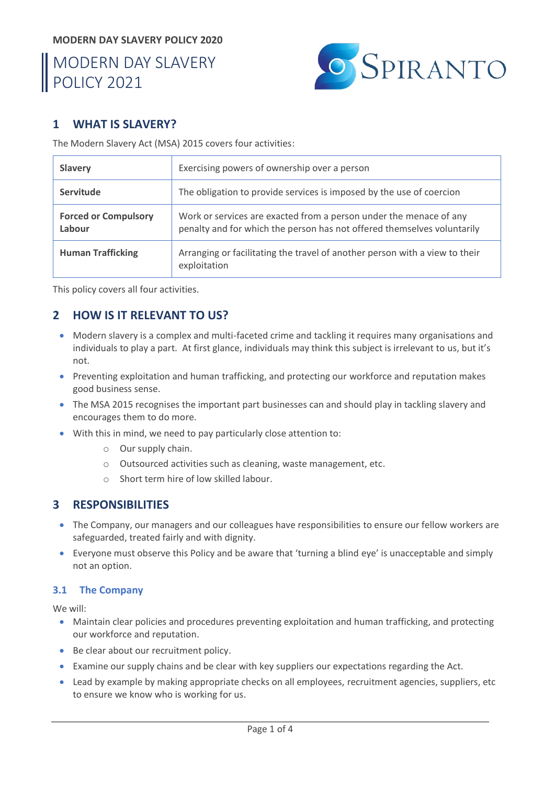#### **MODERN DAY SLAVERY POLICY 2020**

# MODERN DAY SLAVERY POLICY 2021



# **1 WHAT IS SLAVERY?**

The Modern Slavery Act (MSA) 2015 covers four activities:

| <b>Slavery</b>                        | Exercising powers of ownership over a person                                                                                                  |
|---------------------------------------|-----------------------------------------------------------------------------------------------------------------------------------------------|
| <b>Servitude</b>                      | The obligation to provide services is imposed by the use of coercion                                                                          |
| <b>Forced or Compulsory</b><br>Labour | Work or services are exacted from a person under the menace of any<br>penalty and for which the person has not offered themselves voluntarily |
| <b>Human Trafficking</b>              | Arranging or facilitating the travel of another person with a view to their<br>exploitation                                                   |

This policy covers all four activities.

# **2 HOW IS IT RELEVANT TO US?**

- Modern slavery is a complex and multi-faceted crime and tackling it requires many organisations and individuals to play a part. At first glance, individuals may think this subject is irrelevant to us, but it's not.
- Preventing exploitation and human trafficking, and protecting our workforce and reputation makes good business sense.
- The MSA 2015 recognises the important part businesses can and should play in tackling slavery and encourages them to do more.
- With this in mind, we need to pay particularly close attention to:
	- o Our supply chain.
	- o Outsourced activities such as cleaning, waste management, etc.
	- o Short term hire of low skilled labour.

# **3 RESPONSIBILITIES**

- The Company, our managers and our colleagues have responsibilities to ensure our fellow workers are safeguarded, treated fairly and with dignity.
- Everyone must observe this Policy and be aware that 'turning a blind eye' is unacceptable and simply not an option.

#### **3.1 The Company**

We will:

- Maintain clear policies and procedures preventing exploitation and human trafficking, and protecting our workforce and reputation.
- Be clear about our recruitment policy.
- Examine our supply chains and be clear with key suppliers our expectations regarding the Act.
- Lead by example by making appropriate checks on all employees, recruitment agencies, suppliers, etc to ensure we know who is working for us.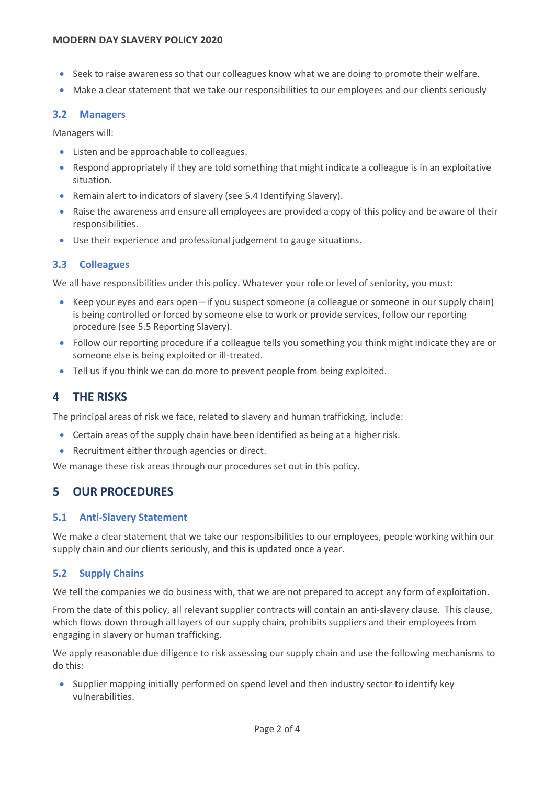- Seek to raise awareness so that our colleagues know what we are doing to promote their welfare.
- Make a clear statement that we take our responsibilities to our employees and our clients seriously

#### **3.2 Managers**

Managers will:

- Listen and be approachable to colleagues.
- Respond appropriately if they are told something that might indicate a colleague is in an exploitative situation.
- Remain alert to indicators of slavery (see [5.4](#page-2-0) [Identifying Slavery\)](#page-2-0).
- Raise the awareness and ensure all employees are provided a copy of this policy and be aware of their responsibilities.
- Use their experience and professional judgement to gauge situations.

## **3.3 Colleagues**

We all have responsibilities under this policy. Whatever your role or level of seniority, you must:

- Keep your eyes and ears open—if you suspect someone (a colleague or someone in our supply chain) is being controlled or forced by someone else to work or provide services, follow our reporting procedure (see [5.5](#page-3-0) [Reporting Slavery\)](#page-3-0).
- Follow our reporting procedure if a colleague tells you something you think might indicate they are or someone else is being exploited or ill-treated.
- Tell us if you think we can do more to prevent people from being exploited.

# **4 THE RISKS**

The principal areas of risk we face, related to slavery and human trafficking, include:

- Certain areas of the supply chain have been identified as being at a higher risk.
- Recruitment either through agencies or direct.

We manage these risk areas through our procedures set out in this policy.

# **5 OUR PROCEDURES**

## **5.1 Anti-Slavery Statement**

We make a clear statement that we take our responsibilities to our employees, people working within our supply chain and our clients seriously, and this is updated once a year.

## **5.2 Supply Chains**

We tell the companies we do business with, that we are not prepared to accept any form of exploitation.

From the date of this policy, all relevant supplier contracts will contain an anti-slavery clause. This clause, which flows down through all layers of our supply chain, prohibits suppliers and their employees from engaging in slavery or human trafficking.

We apply reasonable due diligence to risk assessing our supply chain and use the following mechanisms to do this:

• Supplier mapping initially performed on spend level and then industry sector to identify key vulnerabilities.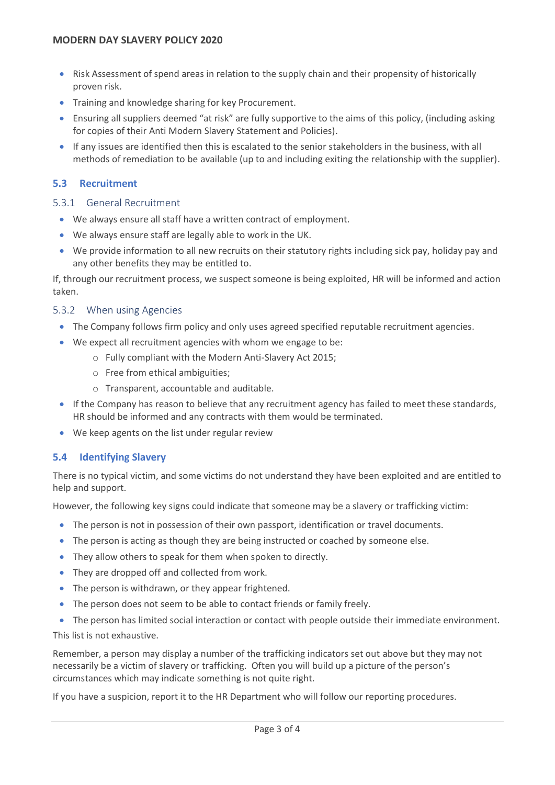- Risk Assessment of spend areas in relation to the supply chain and their propensity of historically proven risk.
- Training and knowledge sharing for key Procurement.
- Ensuring all suppliers deemed "at risk" are fully supportive to the aims of this policy, (including asking for copies of their Anti Modern Slavery Statement and Policies).
- If any issues are identified then this is escalated to the senior stakeholders in the business, with all methods of remediation to be available (up to and including exiting the relationship with the supplier).

#### **5.3 Recruitment**

#### 5.3.1 General Recruitment

- We always ensure all staff have a written contract of employment.
- We always ensure staff are legally able to work in the UK.
- We provide information to all new recruits on their statutory rights including sick pay, holiday pay and any other benefits they may be entitled to.

If, through our recruitment process, we suspect someone is being exploited, HR will be informed and action taken.

#### 5.3.2 When using Agencies

- The Company follows firm policy and only uses agreed specified reputable recruitment agencies.
- We expect all recruitment agencies with whom we engage to be:
	- o Fully compliant with the Modern Anti-Slavery Act 2015;
		- o Free from ethical ambiguities;
		- o Transparent, accountable and auditable.
- If the Company has reason to believe that any recruitment agency has failed to meet these standards, HR should be informed and any contracts with them would be terminated.
- We keep agents on the list under regular review

#### <span id="page-2-0"></span>**5.4 Identifying Slavery**

There is no typical victim, and some victims do not understand they have been exploited and are entitled to help and support.

However, the following key signs could indicate that someone may be a slavery or trafficking victim:

- The person is not in possession of their own passport, identification or travel documents.
- The person is acting as though they are being instructed or coached by someone else.
- They allow others to speak for them when spoken to directly.
- They are dropped off and collected from work.
- The person is withdrawn, or they appear frightened.
- The person does not seem to be able to contact friends or family freely.
- The person has limited social interaction or contact with people outside their immediate environment.

This list is not exhaustive.

Remember, a person may display a number of the trafficking indicators set out above but they may not necessarily be a victim of slavery or trafficking. Often you will build up a picture of the person's circumstances which may indicate something is not quite right.

If you have a suspicion, report it to the HR Department who will follow our reporting procedures.